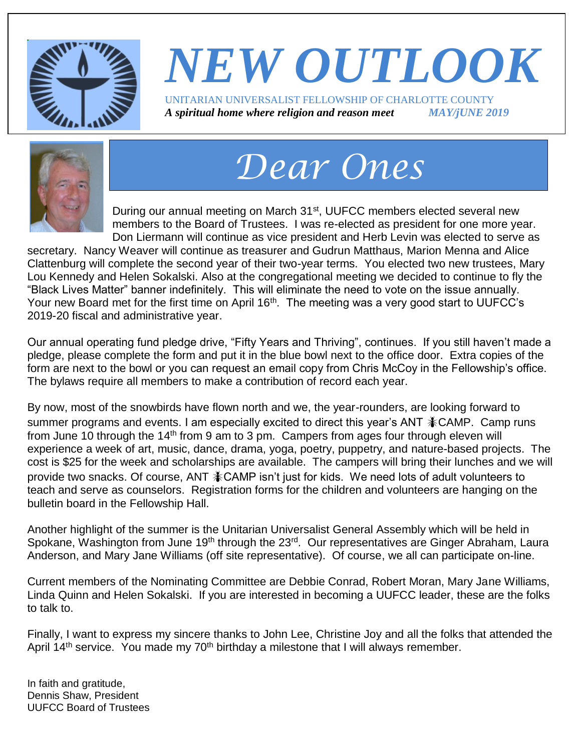

### *NEW OUTLOOK* UNITARIAN UNIVERSALIST FELLOWSHIP OF CHARLOTTE COUNTY *A spiritual home where religion and reason meet MAY/jUNE 2019*



# *Dear Ones*

During our annual meeting on March 31<sup>st</sup>, UUFCC members elected several new members to the Board of Trustees. I was re-elected as president for one more year. Don Liermann will continue as vice president and Herb Levin was elected to serve as

secretary. Nancy Weaver will continue as treasurer and Gudrun Matthaus, Marion Menna and Alice Clattenburg will complete the second year of their two-year terms. You elected two new trustees, Mary Lou Kennedy and Helen Sokalski. Also at the congregational meeting we decided to continue to fly the "Black Lives Matter" banner indefinitely. This will eliminate the need to vote on the issue annually. Your new Board met for the first time on April 16<sup>th</sup>. The meeting was a very good start to UUFCC's 2019-20 fiscal and administrative year.

Our annual operating fund pledge drive, "Fifty Years and Thriving", continues. If you still haven't made a pledge, please complete the form and put it in the blue bowl next to the office door. Extra copies of the form are next to the bowl or you can request an email copy from Chris McCoy in the Fellowship's office. The bylaws require all members to make a contribution of record each year.

By now, most of the snowbirds have flown north and we, the year-rounders, are looking forward to summer programs and events. I am especially excited to direct this year's ANT  $*$ CAMP. Camp runs from June 10 through the 14<sup>th</sup> from 9 am to 3 pm. Campers from ages four through eleven will experience a week of art, music, dance, drama, yoga, poetry, puppetry, and nature-based projects. The cost is \$25 for the week and scholarships are available. The campers will bring their lunches and we will provide two snacks. Of course, ANT  $*$ CAMP isn't just for kids. We need lots of adult volunteers to teach and serve as counselors. Registration forms for the children and volunteers are hanging on the bulletin board in the Fellowship Hall.

Another highlight of the summer is the Unitarian Universalist General Assembly which will be held in Spokane, Washington from June 19<sup>th</sup> through the 23<sup>rd</sup>. Our representatives are Ginger Abraham, Laura Anderson, and Mary Jane Williams (off site representative). Of course, we all can participate on-line.

Current members of the Nominating Committee are Debbie Conrad, Robert Moran, Mary Jane Williams, Linda Quinn and Helen Sokalski. If you are interested in becoming a UUFCC leader, these are the folks to talk to.

Finally, I want to express my sincere thanks to John Lee, Christine Joy and all the folks that attended the April 14<sup>th</sup> service. You made my 70<sup>th</sup> birthday a milestone that I will always remember.

In faith and gratitude, Dennis Shaw, President UUFCC Board of Trustees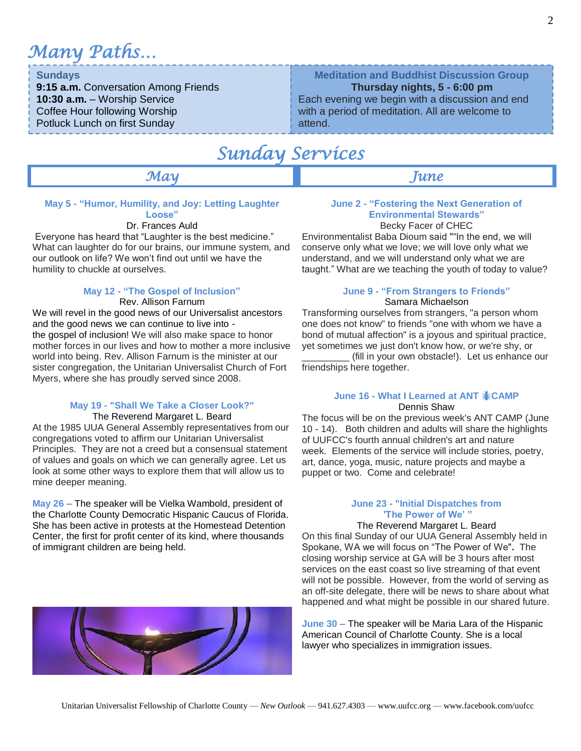*Many Paths…*

#### **Sundays**

**9:15 a.m.** Conversation Among Friends **10:30 a.m.** – Worship Service Coffee Hour following Worship Potluck Lunch on first Sunday

### **Meditation and Buddhist Discussion Group**

#### **Thursday nights, 5 - 6:00 pm**

Each evening we begin with a discussion and end with a period of meditation. All are welcome to attend.

### *Sunday Services*

#### *May June*

#### **May 5 - "Humor, Humility, and Joy: Letting Laughter Loose"**

#### Dr. Frances Auld

Everyone has heard that "Laughter is the best medicine." What can laughter do for our brains, our immune system, and our outlook on life? We won't find out until we have the humility to chuckle at ourselves.

#### **May 12 - "The Gospel of Inclusion"**

Rev. Allison Farnum

We will revel in the good news of our Universalist ancestors and the good news we can continue to live into the gospel of inclusion! We will also make space to honor mother forces in our lives and how to mother a more inclusive world into being. Rev. Allison Farnum is the minister at our sister congregation, the Unitarian Universalist Church of Fort Myers, where she has proudly served since 2008.

#### **May 19 - "Shall We Take a Closer Look?"**

#### The Reverend Margaret L. Beard

At the 1985 UUA General Assembly representatives from our congregations voted to affirm our Unitarian Universalist Principles. They are not a creed but a consensual statement of values and goals on which we can generally agree. Let us look at some other ways to explore them that will allow us to mine deeper meaning.

**May 26 –** The speaker will be Vielka Wambold, president of the Charlotte County Democratic Hispanic Caucus of Florida. She has been active in protests at the Homestead Detention Center, the first for profit center of its kind, where thousands of immigrant children are being held.



#### **June 2 - "Fostering the Next Generation of Environmental Stewards"** Becky Facer of CHEC

Environmentalist Baba Dioum said ""In the end, we will conserve only what we love; we will love only what we understand, and we will understand only what we are taught." What are we teaching the youth of today to value?

#### **June 9 - "From Strangers to Friends"** Samara Michaelson

Transforming ourselves from strangers, "a person whom one does not know" to friends "one with whom we have a bond of mutual affection" is a joyous and spiritual practice, yet sometimes we just don't know how, or we're shy, or

(fill in your own obstacle!). Let us enhance our friendships here together.

#### **June 16 - What I Learned at ANT CAMP** Dennis Shaw

The focus will be on the previous week's ANT CAMP (June 10 - 14). Both children and adults will share the highlights of UUFCC's fourth annual children's art and nature week. Elements of the service will include stories, poetry, art, dance, yoga, music, nature projects and maybe a puppet or two. Come and celebrate!

#### **June 23 - "Initial Dispatches from 'The Power of We' "**

#### The Reverend Margaret L. Beard

On this final Sunday of our UUA General Assembly held in Spokane, WA we will focus on "The Power of We"**.** The closing worship service at GA will be 3 hours after most services on the east coast so live streaming of that event will not be possible. However, from the world of serving as an off-site delegate, there will be news to share about what happened and what might be possible in our shared future.

**June 30 –** The speaker will be Maria Lara of the Hispanic American Council of Charlotte County. She is a local lawyer who specializes in immigration issues.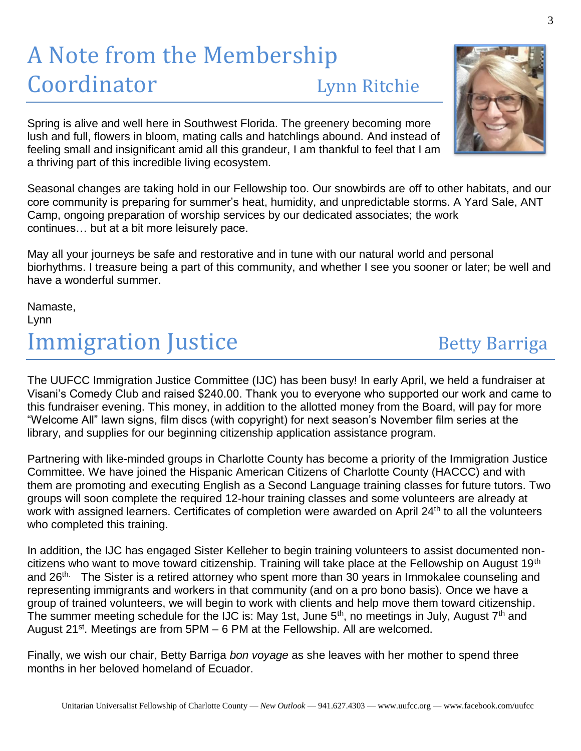## A Note from the Membership Coordinator Lynn Ritchie

Spring is alive and well here in Southwest Florida. The greenery becoming more lush and full, flowers in bloom, mating calls and hatchlings abound. And instead of feeling small and insignificant amid all this grandeur, I am thankful to feel that I am a thriving part of this incredible living ecosystem.

Seasonal changes are taking hold in our Fellowship too. Our snowbirds are off to other habitats, and our core community is preparing for summer's heat, humidity, and unpredictable storms. A Yard Sale, ANT Camp, ongoing preparation of worship services by our dedicated associates; the work continues… but at a bit more leisurely pace.

May all your journeys be safe and restorative and in tune with our natural world and personal biorhythms. I treasure being a part of this community, and whether I see you sooner or later; be well and have a wonderful summer.

Namaste, Lynn **Immigration Justice Betty Barriga** 

The UUFCC Immigration Justice Committee (IJC) has been busy! In early April, we held a fundraiser at Visani's Comedy Club and raised \$240.00. Thank you to everyone who supported our work and came to this fundraiser evening. This money, in addition to the allotted money from the Board, will pay for more "Welcome All" lawn signs, film discs (with copyright) for next season's November film series at the library, and supplies for our beginning citizenship application assistance program.

Partnering with like-minded groups in Charlotte County has become a priority of the Immigration Justice Committee. We have joined the Hispanic American Citizens of Charlotte County (HACCC) and with them are promoting and executing English as a Second Language training classes for future tutors. Two groups will soon complete the required 12-hour training classes and some volunteers are already at work with assigned learners. Certificates of completion were awarded on April 24<sup>th</sup> to all the volunteers who completed this training.

In addition, the IJC has engaged Sister Kelleher to begin training volunteers to assist documented noncitizens who want to move toward citizenship. Training will take place at the Fellowship on August 19th and 26<sup>th.</sup> The Sister is a retired attorney who spent more than 30 years in Immokalee counseling and representing immigrants and workers in that community (and on a pro bono basis). Once we have a group of trained volunteers, we will begin to work with clients and help move them toward citizenship. The summer meeting schedule for the IJC is: May 1st, June  $5<sup>th</sup>$ , no meetings in July, August  $7<sup>th</sup>$  and August 21<sup>st</sup>. Meetings are from 5PM – 6 PM at the Fellowship. All are welcomed.

Finally, we wish our chair, Betty Barriga *bon voyage* as she leaves with her mother to spend three months in her beloved homeland of Ecuador.

#### 3

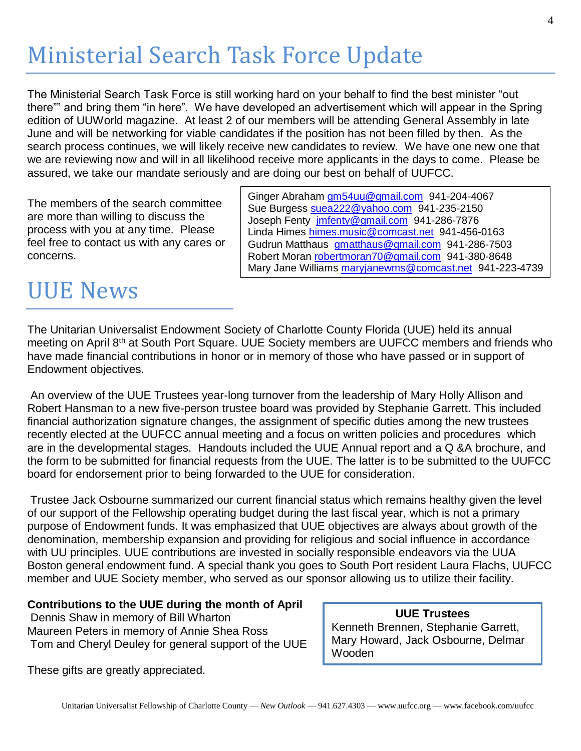## Ministerial Search Task Force Update

The Ministerial Search Task Force is still working hard on your behalf to find the best minister "out there"" and bring them "in here". We have developed an advertisement which will appear in the Spring edition of UUWorld magazine. At least 2 of our members will be attending General Assembly in late June and will be networking for viable candidates if the position has not been filled by then. As the search process continues, we will likely receive new candidates to review. We have one new one that we are reviewing now and will in all likelihood receive more applicants in the days to come. Please be assured, we take our mandate seriously and are doing our best on behalf of UUFCC.

The members of the search committee are more than willing to discuss the process with you at any time. Please feel free to contact us with any cares or concerns.

Ginger Abraham [gm54uu@gmail.com](mailto:gm54uu@gmail.com) 941-204-4067 Sue Burgess [suea222@yahoo.com](mailto:suea222@yahoo.com) 941-235-2150 Joseph Fenty [jmfenty@gmail.com](mailto:jmfenty@gmail.com) 941-286-7876 Linda Himes [himes.music@comcast.net](mailto:himes.music@comcast.net) 941-456-0163 Gudrun Matthaus [gmatthaus@gmail.com](mailto:gmatthaus@gmail.com) 941-286-7503 Robert Moran [robertmoran70@gmail.com](mailto:robertmoran70@gmail.com) 941-380-8648 Mary Jane Williams [maryjanewms@comcast.net](mailto:maryjanewms@comcast.net) 941-223-4739

### UUE News

The Unitarian Universalist Endowment Society of Charlotte County Florida (UUE) held its annual meeting on April 8<sup>th</sup> at South Port Square. UUE Society members are UUFCC members and friends who have made financial contributions in honor or in memory of those who have passed or in support of Endowment objectives.

An overview of the UUE Trustees year-long turnover from the leadership of Mary Holly Allison and Robert Hansman to a new five-person trustee board was provided by Stephanie Garrett. This included financial authorization signature changes, the assignment of specific duties among the new trustees recently elected at the UUFCC annual meeting and a focus on written policies and procedures which are in the developmental stages. Handouts included the UUE Annual report and a Q &A brochure, and the form to be submitted for financial requests from the UUE. The latter is to be submitted to the UUFCC board for endorsement prior to being forwarded to the UUE for consideration.

Trustee Jack Osbourne summarized our current financial status which remains healthy given the level of our support of the Fellowship operating budget during the last fiscal year, which is not a primary purpose of Endowment funds. It was emphasized that UUE objectives are always about growth of the denomination, membership expansion and providing for religious and social influence in accordance with UU principles. UUE contributions are invested in socially responsible endeavors via the UUA Boston general endowment fund. A special thank you goes to South Port resident Laura Flachs, UUFCC member and UUE Society member, who served as our sponsor allowing us to utilize their facility.

### **Contributions to the UUE during the month of April**

Dennis Shaw in memory of Bill Wharton Maureen Peters in memory of Annie Shea Ross Tom and Cheryl Deuley for general support of the UUE

These gifts are greatly appreciated.

#### **UUE Trustees** Kenneth Brennen, Stephanie Garrett, Mary Howard, Jack Osbourne, Delmar **Wooden**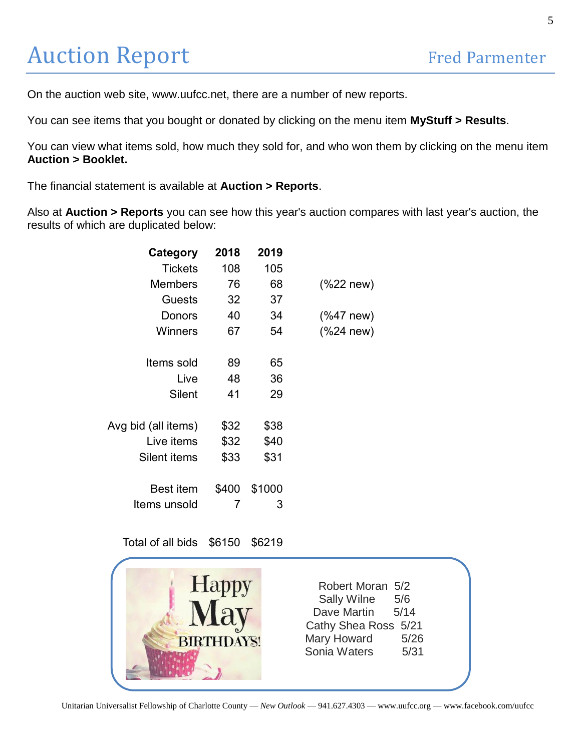## Auction Report Fred Parmenter

On the auction web site, www.uufcc.net, there are a number of new reports.

You can see items that you bought or donated by clicking on the menu item **MyStuff > Results**.

You can view what items sold, how much they sold for, and who won them by clicking on the menu item **Auction > Booklet.**

The financial statement is available at **Auction > Reports**.

Also at **Auction > Reports** you can see how this year's auction compares with last year's auction, the results of which are duplicated below:

| Category            | 2018  | 2019   |                |
|---------------------|-------|--------|----------------|
| <b>Tickets</b>      | 108   | 105    |                |
| <b>Members</b>      | 76    | 68     | $(%$ (%22 new) |
| Guests              | 32    | 37     |                |
| Donors              | 40    | 34     | $(%$ (%47 new) |
| Winners             | 67    | 54     | $(%$ (%24 new) |
|                     |       |        |                |
| Items sold          | 89    | 65     |                |
| Live                | 48    | 36     |                |
| Silent              | 41    | 29     |                |
|                     |       |        |                |
| Avg bid (all items) | \$32  | \$38   |                |
| Live items          | \$32  | \$40   |                |
| Silent items        | \$33  | \$31   |                |
|                     |       |        |                |
| <b>Best item</b>    | \$400 | \$1000 |                |
| ltems unsold        | 7     | 3      |                |

Total of all bids \$6150 \$6219

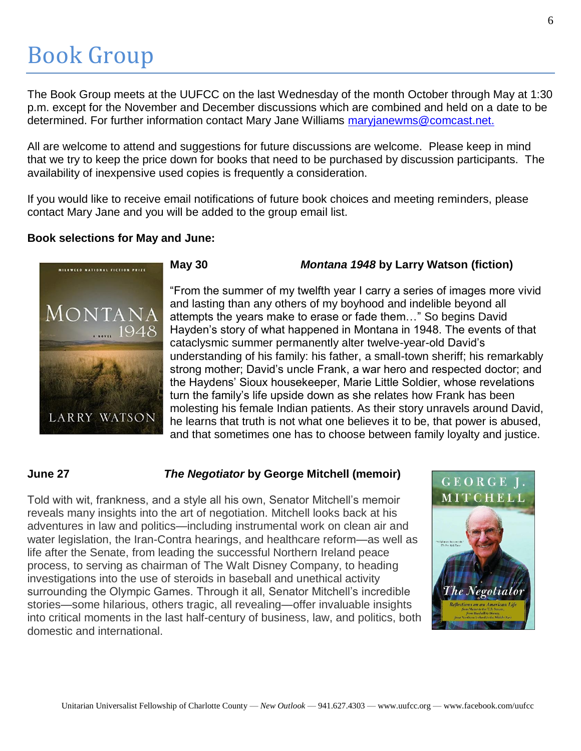### Book Group

The Book Group meets at the UUFCC on the last Wednesday of the month October through May at 1:30 p.m. except for the November and December discussions which are combined and held on a date to be determined. For further information contact Mary Jane Williams [maryjanewms@comcast.net.](mailto:maryjanewms@comcast.net)

All are welcome to attend and suggestions for future discussions are welcome. Please keep in mind that we try to keep the price down for books that need to be purchased by discussion participants. The availability of inexpensive used copies is frequently a consideration.

If you would like to receive email notifications of future book choices and meeting reminders, please contact Mary Jane and you will be added to the group email list.

#### **Book selections for May and June:**



#### **May 30** *Montana 1948* **by Larry Watson (fiction)**

"From the summer of my twelfth year I carry a series of images more vivid and lasting than any others of my boyhood and indelible beyond all attempts the years make to erase or fade them…" So begins David Hayden's story of what happened in Montana in 1948. The events of that cataclysmic summer permanently alter twelve-year-old David's understanding of his family: his father, a small-town sheriff; his remarkably strong mother; David's uncle Frank, a war hero and respected doctor; and the Haydens' Sioux housekeeper, Marie Little Soldier, whose revelations turn the family's life upside down as she relates how Frank has been molesting his female Indian patients. As their story unravels around David, he learns that truth is not what one believes it to be, that power is abused, and that sometimes one has to choose between family loyalty and justice.

#### **June 27** *The Negotiator* **by George Mitchell (memoir)**

Told with wit, frankness, and a style all his own, Senator Mitchell's memoir reveals many insights into the art of negotiation. Mitchell looks back at his adventures in law and politics—including instrumental work on clean air and water legislation, the Iran-Contra hearings, and healthcare reform—as well as life after the Senate, from leading the successful Northern Ireland peace process, to serving as chairman of The Walt Disney Company, to heading investigations into the use of steroids in baseball and unethical activity surrounding the Olympic Games. Through it all, Senator Mitchell's incredible stories—some hilarious, others tragic, all revealing—offer invaluable insights into critical moments in the last half-century of business, law, and politics, both domestic and international.

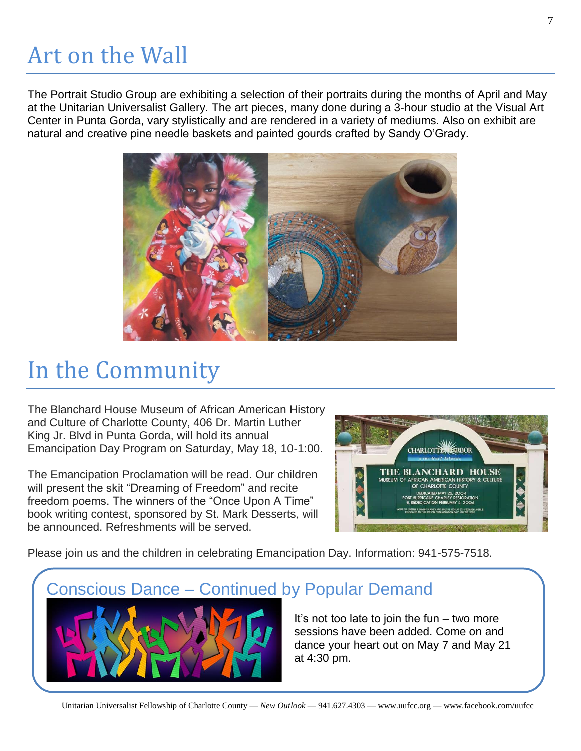## Art on the Wall

The Portrait Studio Group are exhibiting a selection of their portraits during the months of April and May at the Unitarian Universalist Gallery. The art pieces, many done during a 3-hour studio at the Visual Art Center in Punta Gorda, vary stylistically and are rendered in a variety of mediums. Also on exhibit are natural and creative pine needle baskets and painted gourds crafted by Sandy O'Grady.



### In the Community

The Blanchard House Museum of African American History and Culture of Charlotte County, 406 Dr. Martin Luther King Jr. Blvd in Punta Gorda, will hold its annual Emancipation Day Program on Saturday, May 18, 10-1:00.

The Emancipation Proclamation will be read. Our children will present the skit "Dreaming of Freedom" and recite freedom poems. The winners of the "Once Upon A Time" book writing contest, sponsored by St. Mark Desserts, will be announced. Refreshments will be served.



Please join us and the children in celebrating Emancipation Day. Information: 941-575-7518.

### Conscious Dance – Continued by Popular Demand



It's not too late to join the fun – two more sessions have been added. Come on and dance your heart out on May 7 and May 21 at 4:30 pm.